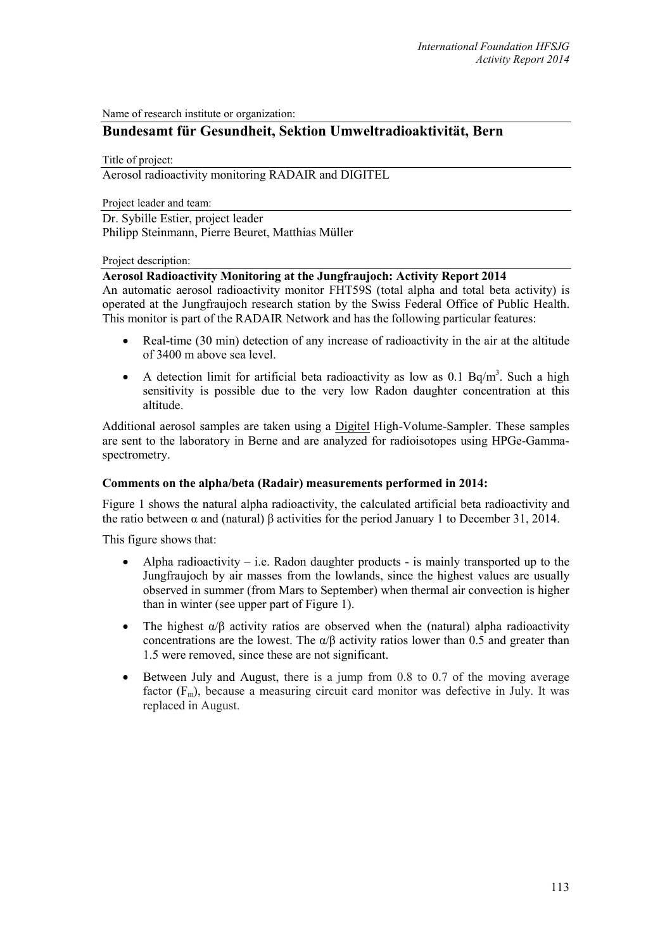Name of research institute or organization:

# **Bundesamt für Gesundheit, Sektion Umweltradioaktivität, Bern**

Title of project:

Aerosol radioactivity monitoring RADAIR and DIGITEL

Project leader and team:

Dr. Sybille Estier, project leader Philipp Steinmann, Pierre Beuret, Matthias Müller

#### Project description:

### **Aerosol Radioactivity Monitoring at the Jungfraujoch: Activity Report 2014**

An automatic aerosol radioactivity monitor FHT59S (total alpha and total beta activity) is operated at the Jungfraujoch research station by the Swiss Federal Office of Public Health. This monitor is part of the RADAIR Network and has the following particular features:

- Real-time (30 min) detection of any increase of radioactivity in the air at the altitude of 3400 m above sea level.
- A detection limit for artificial beta radioactivity as low as  $0.1$  Bq/m<sup>3</sup>. Such a high sensitivity is possible due to the very low Radon daughter concentration at this altitude.

Additional aerosol samples are taken using a Digitel High-Volume-Sampler. These samples are sent to the laboratory in Berne and are analyzed for radioisotopes using HPGe-Gammaspectrometry.

#### **Comments on the alpha/beta (Radair) measurements performed in 2014:**

Figure 1 shows the natural alpha radioactivity, the calculated artificial beta radioactivity and the ratio between α and (natural) β activities for the period January 1 to December 31, 2014.

This figure shows that:

- Alpha radioactivity i.e. Radon daughter products is mainly transported up to the Jungfraujoch by air masses from the lowlands, since the highest values are usually observed in summer (from Mars to September) when thermal air convection is higher than in winter (see upper part of Figure 1).
- The highest  $\alpha/\beta$  activity ratios are observed when the (natural) alpha radioactivity concentrations are the lowest. The  $\alpha/\beta$  activity ratios lower than 0.5 and greater than 1.5 were removed, since these are not significant.
- Between July and August, there is a jump from 0.8 to 0.7 of the moving average factor  $(F_m)$ , because a measuring circuit card monitor was defective in July. It was replaced in August.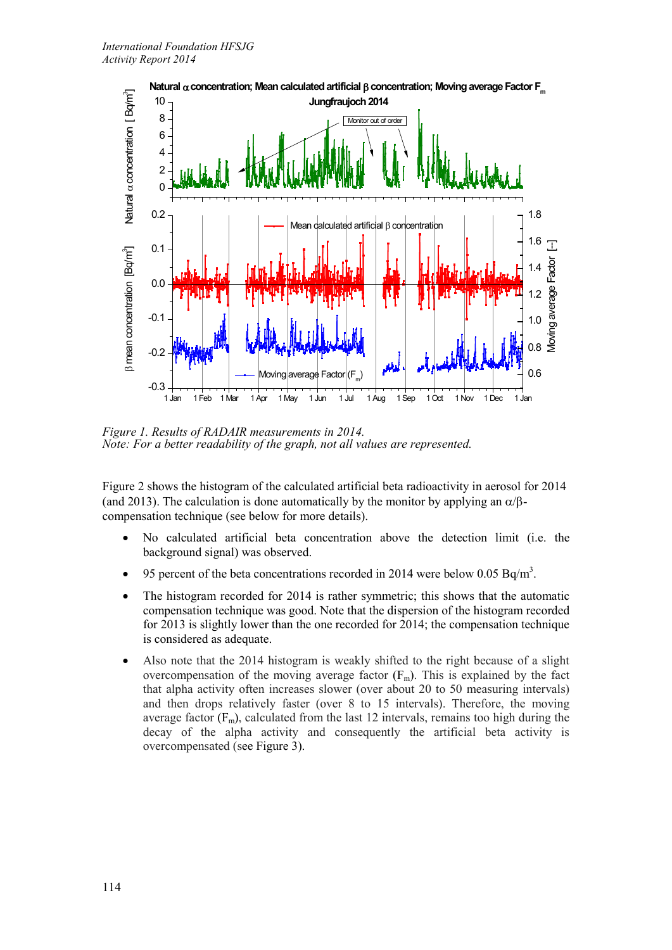

*Figure 1. Results of RADAIR measurements in 2014. Note: For a better readability of the graph, not all values are represented.*

Figure 2 shows the histogram of the calculated artificial beta radioactivity in aerosol for 2014 (and 2013). The calculation is done automatically by the monitor by applying an  $\alpha/\beta$ compensation technique (see below for more details).

- No calculated artificial beta concentration above the detection limit (i.e. the background signal) was observed.
- 95 percent of the beta concentrations recorded in 2014 were below 0.05 Bq/m<sup>3</sup>.
- The histogram recorded for 2014 is rather symmetric; this shows that the automatic compensation technique was good. Note that the dispersion of the histogram recorded for 2013 is slightly lower than the one recorded for 2014; the compensation technique is considered as adequate.
- Also note that the 2014 histogram is weakly shifted to the right because of a slight overcompensation of the moving average factor  $(F_m)$ . This is explained by the fact that alpha activity often increases slower (over about 20 to 50 measuring intervals) and then drops relatively faster (over 8 to 15 intervals). Therefore, the moving average factor  $(F_m)$ , calculated from the last 12 intervals, remains too high during the decay of the alpha activity and consequently the artificial beta activity is overcompensated (see Figure 3).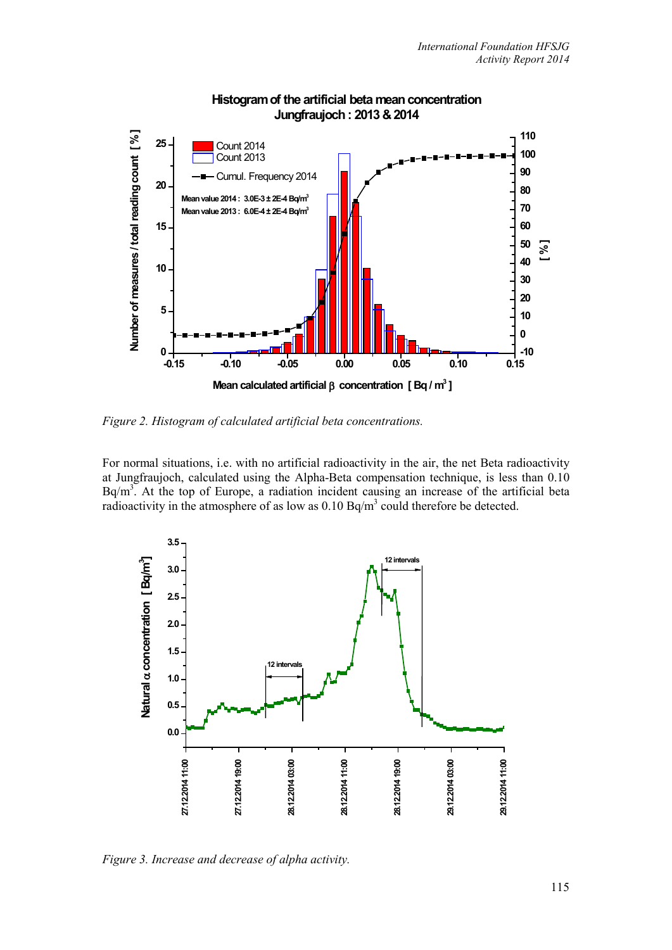![](_page_2_Figure_1.jpeg)

### **Histogram of the artificial beta mean concentration Jungfraujoch : 2013 & 2014**

*Figure 2. Histogram of calculated artificial beta concentrations.*

For normal situations, i.e. with no artificial radioactivity in the air, the net Beta radioactivity at Jungfraujoch, calculated using the Alpha-Beta compensation technique, is less than 0.10  $Bq/m<sup>3</sup>$ . At the top of Europe, a radiation incident causing an increase of the artificial beta radioactivity in the atmosphere of as low as 0.10 Bq/m<sup>3</sup> could therefore be detected.

![](_page_2_Figure_5.jpeg)

*Figure 3. Increase and decrease of alpha activity.*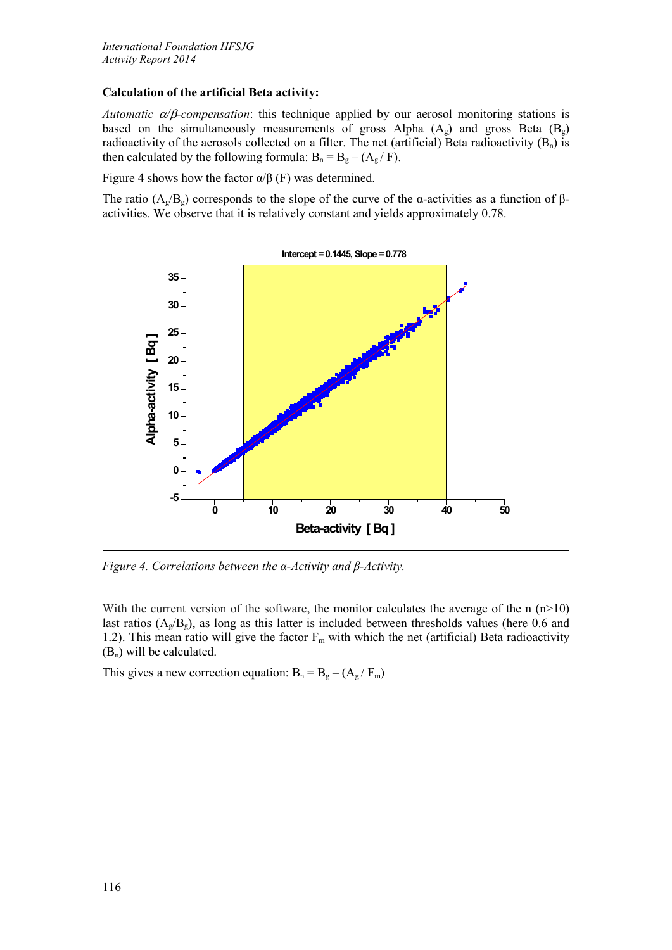### **Calculation of the artificial Beta activity:**

*Automatic* α*/*β*-compensation*: this technique applied by our aerosol monitoring stations is based on the simultaneously measurements of gross Alpha  $(A_g)$  and gross Beta  $(B_g)$ radioactivity of the aerosols collected on a filter. The net (artificial) Beta radioactivity  $(B_n)$  is then calculated by the following formula:  $B_n = B_g - (A_g / F)$ .

Figure 4 shows how the factor  $\alpha/\beta$  (F) was determined.

The ratio  $(A_g/B_g)$  corresponds to the slope of the curve of the α-activities as a function of  $\beta$ activities. We observe that it is relatively constant and yields approximately 0.78.

![](_page_3_Figure_5.jpeg)

*Figure 4. Correlations between the α-Activity and β-Activity.*

With the current version of the software, the monitor calculates the average of the n  $(n>10)$ last ratios  $(A_{\varrho}/B_{\varrho})$ , as long as this latter is included between thresholds values (here 0.6 and 1.2). This mean ratio will give the factor  $F_m$  with which the net (artificial) Beta radioactivity  $(B_n)$  will be calculated.

This gives a new correction equation:  $B_n = B_g - (A_g / F_m)$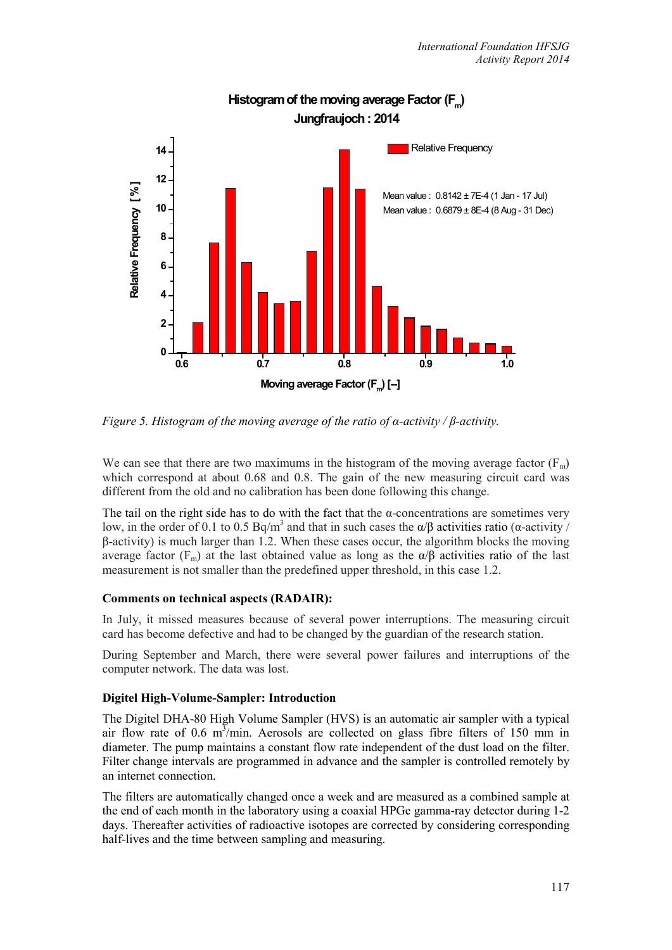![](_page_4_Figure_1.jpeg)

# Histogram of the moving average Factor (F<sub>m</sub>) **Jungfraujoch : 2014**

*Figure 5. Histogram of the moving average of the ratio of α-activity / β-activity.*

We can see that there are two maximums in the histogram of the moving average factor  $(F_m)$ which correspond at about 0.68 and 0.8. The gain of the new measuring circuit card was different from the old and no calibration has been done following this change.

The tail on the right side has to do with the fact that the  $\alpha$ -concentrations are sometimes very low, in the order of 0.1 to 0.5 Bq/m<sup>3</sup> and that in such cases the α/β activities ratio (α-activity /  $β$ -activity) is much larger than 1.2. When these cases occur, the algorithm blocks the moving average factor ( $F_m$ ) at the last obtained value as long as the  $\alpha/\beta$  activities ratio of the last measurement is not smaller than the predefined upper threshold, in this case 1.2.

# **Comments on technical aspects (RADAIR):**

In July, it missed measures because of several power interruptions. The measuring circuit card has become defective and had to be changed by the guardian of the research station.

During September and March, there were several power failures and interruptions of the computer network. The data was lost.

# **Digitel High-Volume-Sampler: Introduction**

The Digitel DHA-80 High Volume Sampler (HVS) is an automatic air sampler with a typical air flow rate of 0.6  $m<sup>3</sup>/min$ . Aerosols are collected on glass fibre filters of 150 mm in diameter. The pump maintains a constant flow rate independent of the dust load on the filter. Filter change intervals are programmed in advance and the sampler is controlled remotely by an internet connection.

The filters are automatically changed once a week and are measured as a combined sample at the end of each month in the laboratory using a coaxial HPGe gamma-ray detector during 1-2 days. Thereafter activities of radioactive isotopes are corrected by considering corresponding half-lives and the time between sampling and measuring.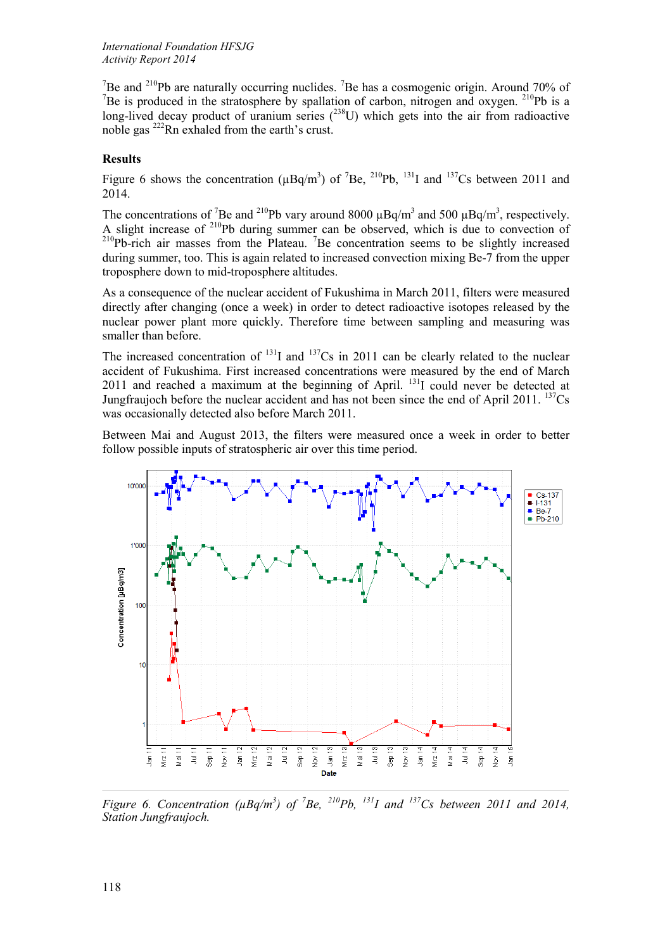<sup>7</sup>Be and <sup>210</sup>Pb are naturally occurring nuclides. <sup>7</sup>Be has a cosmogenic origin. Around 70% of <sup>7</sup>Be is produced in the stratosphere by spallation of carbon, nitrogen and oxygen. <sup>210</sup>Pb is a long-lived decay product of uranium series  $(^{238}U)$  which gets into the air from radioactive noble gas 222Rn exhaled from the earth's crust.

## **Results**

Figure 6 shows the concentration ( $\mu$ Bq/m<sup>3</sup>) of <sup>7</sup>Be, <sup>210</sup>Pb, <sup>131</sup>I and <sup>137</sup>Cs between 2011 and 2014.

The concentrations of <sup>7</sup>Be and <sup>210</sup>Pb vary around 8000  $\mu$ Bq/m<sup>3</sup> and 500  $\mu$ Bq/m<sup>3</sup>, respectively. A slight increase of  $2^{10}Pb$  during summer can be observed, which is due to convection of  $^{210}Pb$ -rich air masses from the Plateau. <sup>7</sup>Be concentration seems to be slightly increased during summer, too. This is again related to increased convection mixing Be-7 from the upper troposphere down to mid-troposphere altitudes.

As a consequence of the nuclear accident of Fukushima in March 2011, filters were measured directly after changing (once a week) in order to detect radioactive isotopes released by the nuclear power plant more quickly. Therefore time between sampling and measuring was smaller than before.

The increased concentration of  $^{131}I$  and  $^{137}Cs$  in 2011 can be clearly related to the nuclear accident of Fukushima. First increased concentrations were measured by the end of March 2011 and reached a maximum at the beginning of April.  $^{131}$ I could never be detected at Jungfraujoch before the nuclear accident and has not been since the end of April 2011.  $^{137}Cs$ was occasionally detected also before March 2011.

Between Mai and August 2013, the filters were measured once a week in order to better follow possible inputs of stratospheric air over this time period.

![](_page_5_Figure_8.jpeg)

*Figure 6. Concentration (* $\mu Bq/m^3$ *) of <sup>7</sup>Be, <sup>210</sup>Pb, <sup>131</sup>I and <sup>137</sup>Cs between 2011 and 2014, Station Jungfraujoch.*